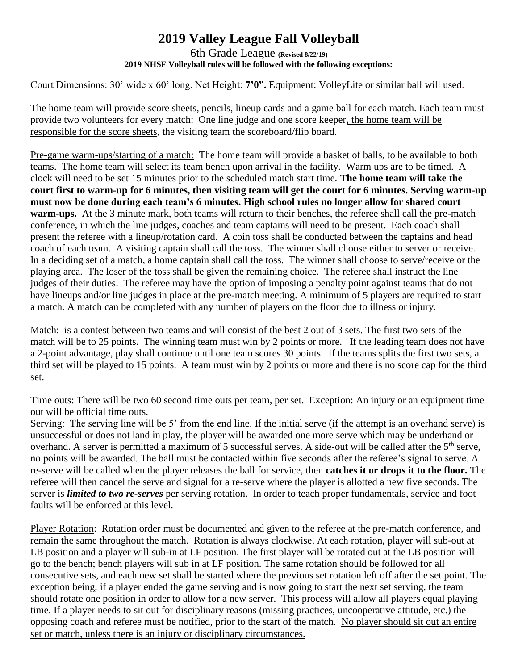## **2019 Valley League Fall Volleyball**

## 6th Grade League **(Revised 8/22/19) 2019 NHSF Volleyball rules will be followed with the following exceptions:**

Court Dimensions: 30' wide x 60' long. Net Height: **7'0".** Equipment: VolleyLite or similar ball will used.

The home team will provide score sheets, pencils, lineup cards and a game ball for each match. Each team must provide two volunteers for every match: One line judge and one score keeper, the home team will be responsible for the score sheets, the visiting team the scoreboard/flip board.

Pre-game warm-ups/starting of a match: The home team will provide a basket of balls, to be available to both teams. The home team will select its team bench upon arrival in the facility. Warm ups are to be timed. A clock will need to be set 15 minutes prior to the scheduled match start time. **The home team will take the court first to warm-up for 6 minutes, then visiting team will get the court for 6 minutes. Serving warm-up must now be done during each team's 6 minutes. High school rules no longer allow for shared court warm-ups.** At the 3 minute mark, both teams will return to their benches, the referee shall call the pre-match conference, in which the line judges, coaches and team captains will need to be present. Each coach shall present the referee with a lineup/rotation card. A coin toss shall be conducted between the captains and head coach of each team. A visiting captain shall call the toss. The winner shall choose either to server or receive. In a deciding set of a match, a home captain shall call the toss. The winner shall choose to serve/receive or the playing area. The loser of the toss shall be given the remaining choice. The referee shall instruct the line judges of their duties. The referee may have the option of imposing a penalty point against teams that do not have lineups and/or line judges in place at the pre-match meeting. A minimum of 5 players are required to start a match. A match can be completed with any number of players on the floor due to illness or injury.

Match: is a contest between two teams and will consist of the best 2 out of 3 sets. The first two sets of the match will be to 25 points. The winning team must win by 2 points or more. If the leading team does not have a 2-point advantage, play shall continue until one team scores 30 points. If the teams splits the first two sets, a third set will be played to 15 points. A team must win by 2 points or more and there is no score cap for the third set.

Time outs: There will be two 60 second time outs per team, per set. Exception: An injury or an equipment time out will be official time outs.

Serving: The serving line will be 5' from the end line. If the initial serve (if the attempt is an overhand serve) is unsuccessful or does not land in play, the player will be awarded one more serve which may be underhand or overhand. A server is permitted a maximum of 5 successful serves. A side-out will be called after the 5<sup>th</sup> serve, no points will be awarded. The ball must be contacted within five seconds after the referee's signal to serve. A re-serve will be called when the player releases the ball for service, then **catches it or drops it to the floor.** The referee will then cancel the serve and signal for a re-serve where the player is allotted a new five seconds. The server is *limited to two re-serves* per serving rotation. In order to teach proper fundamentals, service and foot faults will be enforced at this level.

Player Rotation: Rotation order must be documented and given to the referee at the pre-match conference, and remain the same throughout the match. Rotation is always clockwise. At each rotation, player will sub-out at LB position and a player will sub-in at LF position. The first player will be rotated out at the LB position will go to the bench; bench players will sub in at LF position. The same rotation should be followed for all consecutive sets, and each new set shall be started where the previous set rotation left off after the set point. The exception being, if a player ended the game serving and is now going to start the next set serving, the team should rotate one position in order to allow for a new server. This process will allow all players equal playing time. If a player needs to sit out for disciplinary reasons (missing practices, uncooperative attitude, etc.) the opposing coach and referee must be notified, prior to the start of the match. No player should sit out an entire set or match, unless there is an injury or disciplinary circumstances.